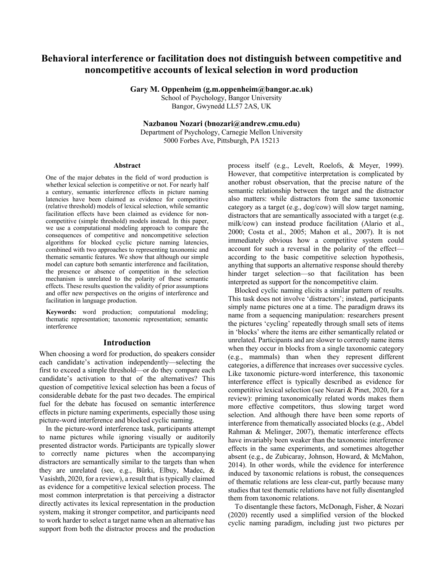# **Behavioral interference or facilitation does not distinguish between competitive and noncompetitive accounts of lexical selection in word production**

**Gary M. Oppenheim (g.m.oppenheim@bangor.ac.uk)**

School of Psychology, Bangor University Bangor, Gwynedd LL57 2AS, UK

**Nazbanou Nozari (bnozari@andrew.cmu.edu)**

Department of Psychology, Carnegie Mellon University 5000 Forbes Ave, Pittsburgh, PA 15213

#### **Abstract**

One of the major debates in the field of word production is whether lexical selection is competitive or not. For nearly half a century, semantic interference effects in picture naming latencies have been claimed as evidence for competitive (relative threshold) models of lexical selection, while semantic facilitation effects have been claimed as evidence for noncompetitive (simple threshold) models instead. In this paper, we use a computational modeling approach to compare the consequences of competitive and noncompetitive selection algorithms for blocked cyclic picture naming latencies, combined with two approaches to representing taxonomic and thematic semantic features. We show that although our simple model can capture both semantic interference and facilitation, the presence or absence of competition in the selection mechanism is unrelated to the polarity of these semantic effects. These results question the validity of prior assumptions and offer new perspectives on the origins of interference and facilitation in language production.

**Keywords:** word production; computational modeling; thematic representation; taxonomic representation; semantic interference

#### **Introduction**

When choosing a word for production, do speakers consider each candidate's activation independently—selecting the first to exceed a simple threshold—or do they compare each candidate's activation to that of the alternatives? This question of competitive lexical selection has been a focus of considerable debate for the past two decades. The empirical fuel for the debate has focused on semantic interference effects in picture naming experiments, especially those using picture-word interference and blocked cyclic naming.

In the picture-word interference task, participants attempt to name pictures while ignoring visually or auditorily presented distractor words. Participants are typically slower to correctly name pictures when the accompanying distractors are semantically similar to the targets than when they are unrelated (see, e.g., Bürki, Elbuy, Madec, & Vasishth, 2020, for a review), a result that is typically claimed as evidence for a competitive lexical selection process. The most common interpretation is that perceiving a distractor directly activates its lexical representation in the production system, making it stronger competitor, and participants need to work harder to select a target name when an alternative has support from both the distractor process and the production

process itself (e.g., Levelt, Roelofs, & Meyer, 1999). However, that competitive interpretation is complicated by another robust observation, that the precise nature of the semantic relationship between the target and the distractor also matters: while distractors from the same taxonomic category as a target (e.g., dog/cow) will slow target naming, distractors that are semantically associated with a target (e.g. milk/cow) can instead produce facilitation (Alario et al., 2000; Costa et al., 2005; Mahon et al., 2007). It is not immediately obvious how a competitive system could account for such a reversal in the polarity of the effect according to the basic competitive selection hypothesis, anything that supports an alternative response should thereby hinder target selection—so that facilitation has been interpreted as support for the noncompetitive claim.

Blocked cyclic naming elicits a similar pattern of results. This task does not involve 'distractors'; instead, participants simply name pictures one at a time. The paradigm draws its name from a sequencing manipulation: researchers present the pictures 'cycling' repeatedly through small sets of items in 'blocks' where the items are either semantically related or unrelated. Participants and are slower to correctly name items when they occur in blocks from a single taxonomic category (e.g., mammals) than when they represent different categories, a difference that increases over successive cycles. Like taxonomic picture-word interference, this taxonomic interference effect is typically described as evidence for competitive lexical selection (see Nozari & Pinet, 2020, for a review): priming taxonomically related words makes them more effective competitors, thus slowing target word selection. And although there have been some reports of interference from thematically associated blocks (e.g., Abdel Rahman & Melinger, 2007), thematic interference effects have invariably been weaker than the taxonomic interference effects in the same experiments, and sometimes altogether absent (e.g., de Zubicaray, Johnson, Howard, & McMahon, 2014). In other words, while the evidence for interference induced by taxonomic relations is robust, the consequences of thematic relations are less clear-cut, partly because many studies that test thematic relations have not fully disentangled them from taxonomic relations.

To disentangle these factors, McDonagh, Fisher, & Nozari (2020) recently used a simplified version of the blocked cyclic naming paradigm, including just two pictures per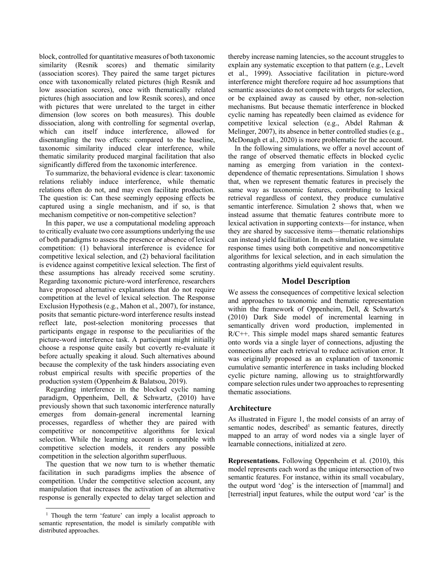block, controlled for quantitative measures of both taxonomic similarity (Resnik scores) and thematic similarity (association scores). They paired the same target pictures once with taxonomically related pictures (high Resnik and low association scores), once with thematically related pictures (high association and low Resnik scores), and once with pictures that were unrelated to the target in either dimension (low scores on both measures). This double dissociation, along with controlling for segmental overlap, which can itself induce interference, allowed for disentangling the two effects: compared to the baseline, taxonomic similarity induced clear interference, while thematic similarity produced marginal facilitation that also significantly differed from the taxonomic interference.

To summarize, the behavioral evidence is clear: taxonomic relations reliably induce interference, while thematic relations often do not, and may even facilitate production. The question is: Can these seemingly opposing effects be captured using a single mechanism, and if so, is that mechanism competitive or non-competitive selection?

In this paper, we use a computational modeling approach to critically evaluate two core assumptions underlying the use of both paradigms to assess the presence or absence of lexical competition: (1) behavioral interference is evidence for competitive lexical selection, and (2) behavioral facilitation is evidence against competitive lexical selection. The first of these assumptions has already received some scrutiny. Regarding taxonomic picture-word interference, researchers have proposed alternative explanations that do not require competition at the level of lexical selection. The Response Exclusion Hypothesis (e.g., Mahon et al., 2007), for instance, posits that semantic picture-word interference results instead reflect late, post-selection monitoring processes that participants engage in response to the peculiarities of the picture-word interference task. A participant might initially choose a response quite easily but covertly re-evaluate it before actually speaking it aloud. Such alternatives abound because the complexity of the task hinders associating even robust empirical results with specific properties of the production system (Oppenheim & Balatsou, 2019).

Regarding interference in the blocked cyclic naming paradigm, Oppenheim, Dell, & Schwartz, (2010) have previously shown that such taxonomic interference naturally emerges from domain-general incremental learning processes, regardless of whether they are paired with competitive or noncompetitive algorithms for lexical selection. While the learning account is compatible with competitive selection models, it renders any possible competition in the selection algorithm superfluous.

The question that we now turn to is whether thematic facilitation in such paradigms implies the absence of competition. Under the competitive selection account, any manipulation that increases the activation of an alternative response is generally expected to delay target selection and

thereby increase naming latencies, so the account struggles to explain any systematic exception to that pattern (e.g., Levelt et al., 1999). Associative facilitation in picture-word interference might therefore require ad hoc assumptions that semantic associates do not compete with targets for selection, or be explained away as caused by other, non-selection mechanisms. But because thematic interference in blocked cyclic naming has repeatedly been claimed as evidence for competitive lexical selection (e.g., Abdel Rahman & Melinger, 2007), its absence in better controlled studies (e.g., McDonagh et al., 2020) is more problematic for the account.

In the following simulations, we offer a novel account of the range of observed thematic effects in blocked cyclic naming as emerging from variation in the contextdependence of thematic representations. Simulation 1 shows that, when we represent thematic features in precisely the same way as taxonomic features, contributing to lexical retrieval regardless of context, they produce cumulative semantic interference. Simulation 2 shows that, when we instead assume that thematic features contribute more to lexical activation in supporting contexts—for instance, when they are shared by successive items—thematic relationships can instead yield facilitation. In each simulation, we simulate response times using both competitive and noncompetitive algorithms for lexical selection, and in each simulation the contrasting algorithms yield equivalent results.

#### **Model Description**

We assess the consequences of competitive lexical selection and approaches to taxonomic and thematic representation within the framework of Oppenheim, Dell, & Schwartz's (2010) Dark Side model of incremental learning in semantically driven word production, implemented in R/C++. This simple model maps shared semantic features onto words via a single layer of connections, adjusting the connections after each retrieval to reduce activation error. It was originally proposed as an explanation of taxonomic cumulative semantic interference in tasks including blocked cyclic picture naming, allowing us to straightforwardly compare selection rules under two approaches to representing thematic associations.

#### **Architecture**

As illustrated in Figure 1, the model consists of an array of semantic nodes, described<sup>1</sup> as semantic features, directly mapped to an array of word nodes via a single layer of learnable connections, initialized at zero.

**Representations.** Following Oppenheim et al. (2010), this model represents each word as the unique intersection of two semantic features. For instance, within its small vocabulary, the output word 'dog' is the intersection of [mammal] and [terrestrial] input features, while the output word 'car' is the

<sup>&</sup>lt;sup>1</sup> Though the term 'feature' can imply a localist approach to semantic representation, the model is similarly compatible with distributed approaches.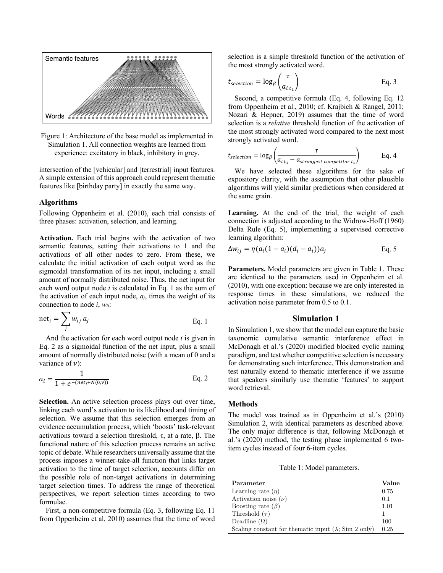

Figure 1: Architecture of the base model as implemented in Simulation 1. All connection weights are learned from experience: excitatory in black, inhibitory in grey.

intersection of the [vehicular] and [terrestrial] input features. A simple extension of this approach could represent thematic features like [birthday party] in exactly the same way.

#### **Algorithms**

Following Oppenheim et al. (2010), each trial consists of three phases: activation, selection, and learning.

**Activation.** Each trial begins with the activation of two semantic features, setting their activations to 1 and the activations of all other nodes to zero. From these, we calculate the initial activation of each output word as the sigmoidal transformation of its net input, including a small amount of normally distributed noise. Thus, the net input for each word output node *i* is calculated in Eq. 1 as the sum of the activation of each input node, *aj*, times the weight of its connection to node *i*, *wij*:

$$
net_i = \sum_j w_{ij} a_j
$$
 Eq. 1

And the activation for each word output node *i* is given in Eq. 2 as a sigmoidal function of the net input, plus a small amount of normally distributed noise (with a mean of 0 and a variance of  $\nu$ :

$$
a_i = \frac{1}{1 + e^{-(net_i + N(0,\nu))}}
$$
 Eq. 2

**Selection.** An active selection process plays out over time, linking each word's activation to its likelihood and timing of selection. We assume that this selection emerges from an evidence accumulation process, which 'boosts' task-relevant activations toward a selection threshold,  $\tau$ , at a rate,  $\beta$ . The functional nature of this selection process remains an active topic of debate. While researchers universally assume that the process imposes a winner-take-all function that links target activation to the time of target selection, accounts differ on the possible role of non-target activations in determining target selection times. To address the range of theoretical perspectives, we report selection times according to two formulae.

First, a non-competitive formula (Eq. 3, following Eq. 11 from Oppenheim et al, 2010) assumes that the time of word selection is a simple threshold function of the activation of the most strongly activated word.

$$
t_{selection} = \log_{\beta} \left( \frac{\tau}{a_{i \, t_1}} \right) \tag{Eq. 3}
$$

Second, a competitive formula (Eq. 4, following Eq. 12 from Oppenheim et al., 2010; cf. Krajbich & Rangel, 2011; Nozari & Hepner, 2019) assumes that the time of word selection is a *relative* threshold function of the activation of the most strongly activated word compared to the next most strongly activated word.

$$
t_{selection} = \log_{\beta} \left( \frac{\tau}{a_{i t_1} - a_{strongest \, competitor \, t_1}} \right) \qquad \text{Eq. 4}
$$

We have selected these algorithms for the sake of expository clarity, with the assumption that other plausible algorithms will yield similar predictions when considered at the same grain.

**Learning.** At the end of the trial, the weight of each connection is adjusted according to the Widrow-Hoff (1960) Delta Rule (Eq. 5), implementing a supervised corrective learning algorithm:

$$
\Delta w_{ij} = \eta (a_i (1 - a_i) (d_i - a_i)) a_j
$$
 Eq. 5

**Parameters.** Model parameters are given in Table 1. These are identical to the parameters used in Oppenheim et al. (2010), with one exception: because we are only interested in response times in these simulations, we reduced the activation noise parameter from 0.5 to 0.1.

#### **Simulation 1**

In Simulation 1, we show that the model can capture the basic taxonomic cumulative semantic interference effect in McDonagh et al.'s (2020) modified blocked cyclic naming paradigm, and test whether competitive selection is necessary for demonstrating such interference. This demonstration and test naturally extend to thematic interference if we assume that speakers similarly use thematic 'features' to support word retrieval.

### **Methods**

The model was trained as in Oppenheim et al.'s (2010) Simulation 2, with identical parameters as described above. The only major difference is that, following McDonagh et al.'s (2020) method, the testing phase implemented 6 twoitem cycles instead of four 6-item cycles.

Table 1: Model parameters.

| Parameter                                                                    | Value |
|------------------------------------------------------------------------------|-------|
| Learning rate $(\eta)$                                                       | 0.75  |
| Activation noise $(\nu)$                                                     | 0.1   |
| Boosting rate $(\beta)$                                                      | 1.01  |
| Threshold $(\tau)$                                                           |       |
| Deadline $(\Omega)$                                                          | 100   |
| Scaling constant for the matic input $(\lambda; \text{Sim } 2 \text{ only})$ | 0.25  |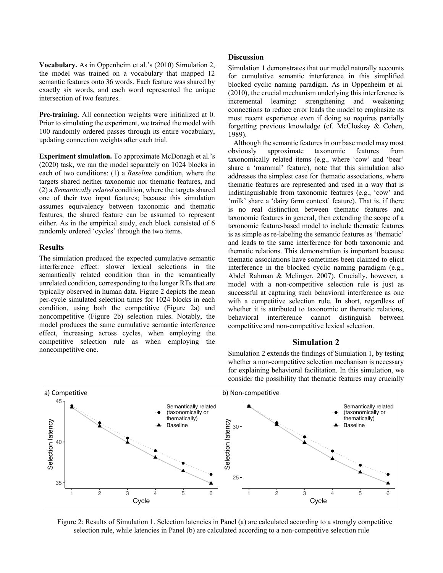**Vocabulary.** As in Oppenheim et al.'s (2010) Simulation 2, the model was trained on a vocabulary that mapped 12 semantic features onto 36 words. Each feature was shared by exactly six words, and each word represented the unique intersection of two features.

**Pre-training.** All connection weights were initialized at 0. Prior to simulating the experiment, we trained the model with 100 randomly ordered passes through its entire vocabulary, updating connection weights after each trial.

**Experiment simulation.** To approximate McDonagh et al.'s (2020) task, we ran the model separately on 1024 blocks in each of two conditions: (1) a *Baseline* condition, where the targets shared neither taxonomic nor thematic features, and (2) a *Semantically related* condition, where the targets shared one of their two input features; because this simulation assumes equivalency between taxonomic and thematic features, the shared feature can be assumed to represent either. As in the empirical study, each block consisted of 6 randomly ordered 'cycles' through the two items.

#### **Results**

The simulation produced the expected cumulative semantic interference effect: slower lexical selections in the semantically related condition than in the semantically unrelated condition, corresponding to the longer RTs that are typically observed in human data. Figure 2 depicts the mean per-cycle simulated selection times for 1024 blocks in each condition, using both the competitive (Figure 2a) and noncompetitive (Figure 2b) selection rules. Notably, the model produces the same cumulative semantic interference effect, increasing across cycles, when employing the competitive selection rule as when employing the noncompetitive one.

#### **Discussion**

Simulation 1 demonstrates that our model naturally accounts for cumulative semantic interference in this simplified blocked cyclic naming paradigm. As in Oppenheim et al. (2010), the crucial mechanism underlying this interference is incremental learning: strengthening and weakening connections to reduce error leads the model to emphasize its most recent experience even if doing so requires partially forgetting previous knowledge (cf. McCloskey & Cohen, 1989).

 Although the semantic features in our base model may most obviously approximate taxonomic features from taxonomically related items (e.g., where 'cow' and 'bear' share a 'mammal' feature), note that this simulation also addresses the simplest case for thematic associations, where thematic features are represented and used in a way that is indistinguishable from taxonomic features (e.g., 'cow' and 'milk' share a 'dairy farm context' feature). That is, if there is no real distinction between thematic features and taxonomic features in general, then extending the scope of a taxonomic feature-based model to include thematic features is as simple as re-labeling the semantic features as 'thematic' and leads to the same interference for both taxonomic and thematic relations. This demonstration is important because thematic associations have sometimes been claimed to elicit interference in the blocked cyclic naming paradigm (e.g., Abdel Rahman & Melinger, 2007). Crucially, however, a model with a non-competitive selection rule is just as successful at capturing such behavioral interference as one with a competitive selection rule. In short, regardless of whether it is attributed to taxonomic or thematic relations, behavioral interference cannot distinguish between competitive and non-competitive lexical selection.

#### **Simulation 2**

Simulation 2 extends the findings of Simulation 1, by testing whether a non-competitive selection mechanism is necessary for explaining behavioral facilitation. In this simulation, we consider the possibility that thematic features may crucially



Figure 2: Results of Simulation 1. Selection latencies in Panel (a) are calculated according to a strongly competitive selection rule, while latencies in Panel (b) are calculated according to a non-competitive selection rule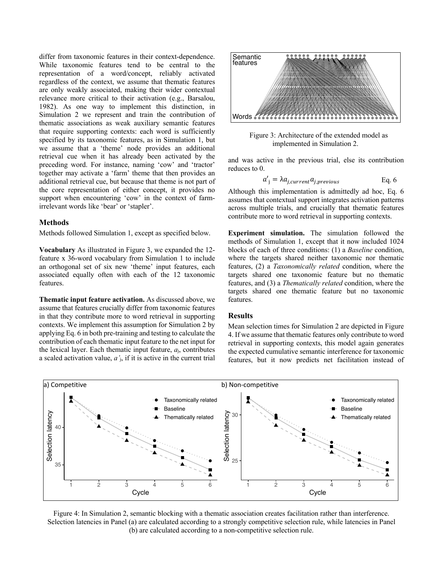differ from taxonomic features in their context-dependence. While taxonomic features tend to be central to the representation of a word/concept, reliably activated regardless of the context, we assume that thematic features are only weakly associated, making their wider contextual relevance more critical to their activation (e.g., Barsalou, 1982). As one way to implement this distinction, in Simulation 2 we represent and train the contribution of thematic associations as weak auxiliary semantic features that require supporting contexts: each word is sufficiently specified by its taxonomic features, as in Simulation 1, but we assume that a 'theme' node provides an additional retrieval cue when it has already been activated by the preceding word. For instance, naming 'cow' and 'tractor' together may activate a 'farm' theme that then provides an additional retrieval cue, but because that theme is not part of the core representation of either concept, it provides no support when encountering 'cow' in the context of farmirrelevant words like 'bear' or 'stapler'.

#### **Methods**

Methods followed Simulation 1, except as specified below.

**Vocabulary** As illustrated in Figure 3, we expanded the 12 feature x 36-word vocabulary from Simulation 1 to include an orthogonal set of six new 'theme' input features, each associated equally often with each of the 12 taxonomic features.

**Thematic input feature activation.** As discussed above, we assume that features crucially differ from taxonomic features in that they contribute more to word retrieval in supporting contexts. We implement this assumption for Simulation 2 by applying Eq. 6 in both pre-training and testing to calculate the contribution of each thematic input feature to the net input for the lexical layer. Each thematic input feature, *a*j, contributes a scaled activation value, *a'*j, if it is active in the current trial



Figure 3: Architecture of the extended model as implemented in Simulation 2.

and was active in the previous trial, else its contribution reduces to 0.

$$
a'_{j} = \lambda a_{j, current} a_{j, previous} \qquad \text{Eq. 6}
$$

Although this implementation is admittedly ad hoc, Eq. 6 assumes that contextual support integrates activation patterns across multiple trials, and crucially that thematic features contribute more to word retrieval in supporting contexts.

**Experiment simulation.** The simulation followed the methods of Simulation 1, except that it now included 1024 blocks of each of three conditions: (1) a *Baseline* condition, where the targets shared neither taxonomic nor thematic features, (2) a *Taxonomically related* condition, where the targets shared one taxonomic feature but no thematic features, and (3) a *Thematically related* condition, where the targets shared one thematic feature but no taxonomic features.

#### **Results**

Mean selection times for Simulation 2 are depicted in Figure 4. If we assume that thematic features only contribute to word retrieval in supporting contexts, this model again generates the expected cumulative semantic interference for taxonomic features, but it now predicts net facilitation instead of



Figure 4: In Simulation 2, semantic blocking with a thematic association creates facilitation rather than interference. Selection latencies in Panel (a) are calculated according to a strongly competitive selection rule, while latencies in Panel (b) are calculated according to a non-competitive selection rule.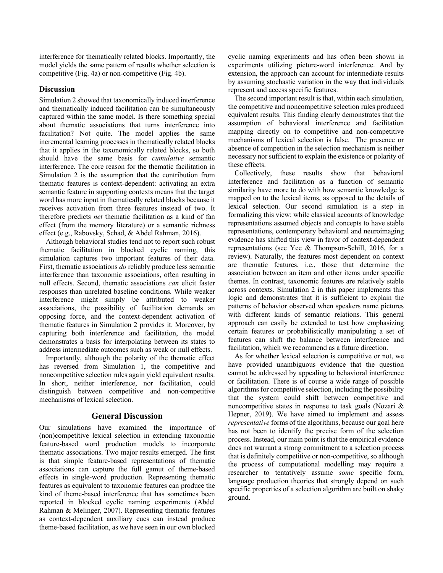interference for thematically related blocks. Importantly, the model yields the same pattern of results whether selection is competitive (Fig. 4a) or non-competitive (Fig. 4b).

# **Discussion**

Simulation 2 showed that taxonomically induced interference and thematically induced facilitation can be simultaneously captured within the same model. Is there something special about thematic associations that turns interference into facilitation? Not quite. The model applies the same incremental learning processes in thematically related blocks that it applies in the taxonomically related blocks, so both should have the same basis for *cumulative* semantic interference. The core reason for the thematic facilitation in Simulation 2 is the assumption that the contribution from thematic features is context-dependent: activating an extra semantic feature in supporting contexts means that the target word has more input in thematically related blocks because it receives activation from three features instead of two. It therefore predicts *net* thematic facilitation as a kind of fan effect (from the memory literature) or a semantic richness effect (e.g., Rabovsky, Schad, & Abdel Rahman, 2016).

Although behavioral studies tend not to report such robust thematic facilitation in blocked cyclic naming, this simulation captures two important features of their data. First, thematic associations *do* reliably produce less semantic interference than taxonomic associations, often resulting in null effects. Second, thematic associations *can* elicit faster responses than unrelated baseline conditions. While weaker interference might simply be attributed to weaker associations, the possibility of facilitation demands an opposing force, and the context-dependent activation of thematic features in Simulation 2 provides it. Moreover, by capturing both interference and facilitation, the model demonstrates a basis for interpolating between its states to address intermediate outcomes such as weak or null effects.

Importantly, although the polarity of the thematic effect has reversed from Simulation 1, the competitive and noncompetitive selection rules again yield equivalent results. In short, neither interference, nor facilitation, could distinguish between competitive and non-competitive mechanisms of lexical selection.

# **General Discussion**

Our simulations have examined the importance of (non)competitive lexical selection in extending taxonomic feature-based word production models to incorporate thematic associations. Two major results emerged. The first is that simple feature-based representations of thematic associations can capture the full gamut of theme-based effects in single-word production. Representing thematic features as equivalent to taxonomic features can produce the kind of theme-based interference that has sometimes been reported in blocked cyclic naming experiments (Abdel Rahman & Melinger, 2007). Representing thematic features as context-dependent auxiliary cues can instead produce theme-based facilitation, as we have seen in our own blocked

cyclic naming experiments and has often been shown in experiments utilizing picture-word interference. And by extension, the approach can account for intermediate results by assuming stochastic variation in the way that individuals represent and access specific features.

The second important result is that, within each simulation, the competitive and noncompetitive selection rules produced equivalent results. This finding clearly demonstrates that the assumption of behavioral interference and facilitation mapping directly on to competitive and non-competitive mechanisms of lexical selection is false. The presence or absence of competition in the selection mechanism is neither necessary nor sufficient to explain the existence or polarity of these effects.

Collectively, these results show that behavioral interference and facilitation as a function of semantic similarity have more to do with how semantic knowledge is mapped on to the lexical items, as opposed to the details of lexical selection. Our second simulation is a step in formalizing this view: while classical accounts of knowledge representations assumed objects and concepts to have stable representations, contemporary behavioral and neuroimaging evidence has shifted this view in favor of context-dependent representations (see Yee & Thompson-Schill, 2016, for a review). Naturally, the features most dependent on context are thematic features, i.e., those that determine the association between an item and other items under specific themes. In contrast, taxonomic features are relatively stable across contexts. Simulation 2 in this paper implements this logic and demonstrates that it is sufficient to explain the patterns of behavior observed when speakers name pictures with different kinds of semantic relations. This general approach can easily be extended to test how emphasizing certain features or probabilistically manipulating a set of features can shift the balance between interference and facilitation, which we recommend as a future direction.

As for whether lexical selection is competitive or not, we have provided unambiguous evidence that the question cannot be addressed by appealing to behavioral interference or facilitation. There is of course a wide range of possible algorithms for competitive selection, including the possibility that the system could shift between competitive and noncompetitive states in response to task goals (Nozari & Hepner, 2019). We have aimed to implement and assess *representative* forms of the algorithms, because our goal here has not been to identify the precise form of the selection process. Instead, our main point is that the empirical evidence does not warrant a strong commitment to a selection process that is definitely competitive or non-competitive, so although the process of computational modelling may require a researcher to tentatively assume *some* specific form, language production theories that strongly depend on such specific properties of a selection algorithm are built on shaky ground.